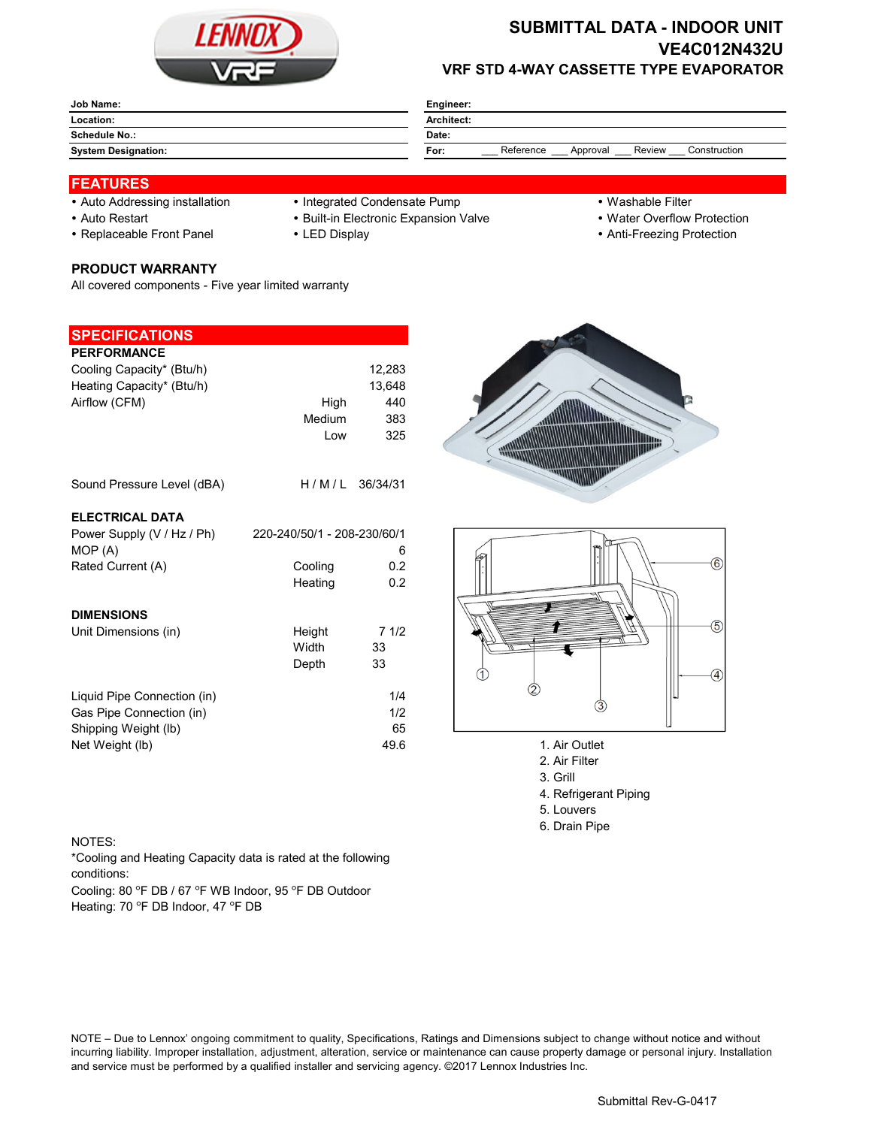

# **SUBMITTAL DATA - INDOOR UNIT VE4C012N432U VRF STD 4-WAY CASSETTE TYPE EVAPORATOR**

| Job Name:                  | Engineer:                                               |  |  |  |
|----------------------------|---------------------------------------------------------|--|--|--|
| Location:                  | <b>Architect:</b>                                       |  |  |  |
| <b>Schedule No.:</b>       | Date:                                                   |  |  |  |
| <b>System Designation:</b> | Reference<br>Construction<br>Review<br>Approval<br>For: |  |  |  |

### **FEATURES**

- -
- -

#### **PRODUCT WARRANTY**

All covered components - Five year limited warranty

## **SPECIFICATIONS**

| <b>PERFORMANCE</b>          |                             |          |                        |
|-----------------------------|-----------------------------|----------|------------------------|
| Cooling Capacity* (Btu/h)   |                             | 12,283   |                        |
| Heating Capacity* (Btu/h)   |                             | 13,648   |                        |
| Airflow (CFM)               | High                        | 440      |                        |
|                             | Medium                      | 383      |                        |
|                             | Low                         | 325      |                        |
| Sound Pressure Level (dBA)  | H/M/L                       | 36/34/31 |                        |
| <b>ELECTRICAL DATA</b>      |                             |          |                        |
| Power Supply (V / Hz / Ph)  | 220-240/50/1 - 208-230/60/1 |          |                        |
| MOP(A)                      |                             | 6        |                        |
| Rated Current (A)           | Cooling                     | 0.2      |                        |
|                             | Heating                     | 0.2      |                        |
| <b>DIMENSIONS</b>           |                             |          |                        |
| Unit Dimensions (in)        | Height                      | 71/2     |                        |
|                             | Width                       | 33       |                        |
|                             | Depth                       | 33       |                        |
| Liquid Pipe Connection (in) |                             | 1/4      |                        |
| Gas Pipe Connection (in)    |                             | 1/2      | 3                      |
| Shipping Weight (lb)        |                             | 65       |                        |
| Net Weight (lb)             |                             | 49.6     | 1. Air Outlet          |
|                             |                             |          | $0.14 \times 10^{-11}$ |

- Auto Addressing installation Integrated Condensate Pump Washable Filter
- Auto Restart **Built-in Electronic Expansion Valve Water Overflow Protection** 
	-
- 
- 
- Replaceable Front Panel LED Display Anti-Freezing Protection





- 
- 2. Air Filter 3. Grill
- 4. Refrigerant Piping
- 5. Louvers
- 6. Drain Pipe

#### NOTES:

\*Cooling and Heating Capacity data is rated at the following conditions:

Cooling: 80 °F DB / 67 °F WB Indoor, 95 °F DB Outdoor Heating: 70 °F DB Indoor, 47 °F DB

NOTE – Due to Lennox' ongoing commitment to quality, Specifications, Ratings and Dimensions subject to change without notice and without incurring liability. Improper installation, adjustment, alteration, service or maintenance can cause property damage or personal injury. Installation and service must be performed by a qualified installer and servicing agency. ©2017 Lennox Industries Inc.